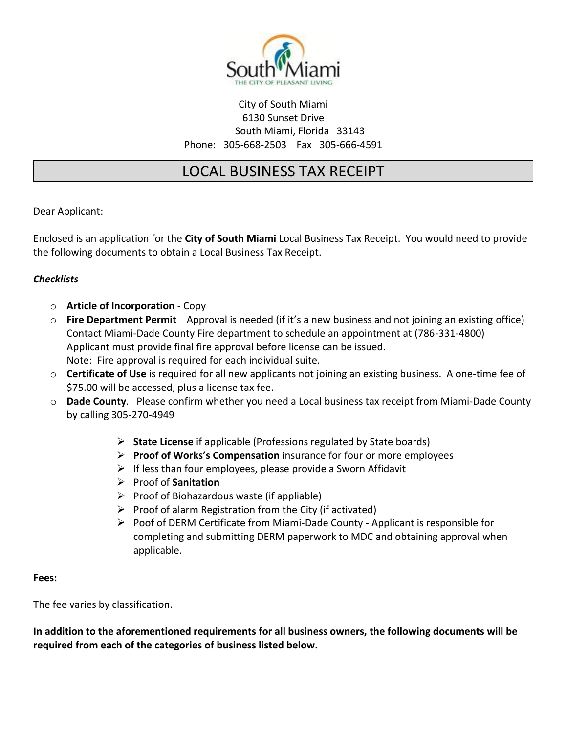

# City of South Miami 6130 Sunset Drive South Miami, Florida 33143 Phone: 305-668-2503 Fax 305-666-4591

# LOCAL BUSINESS TAX RECEIPT

Dear Applicant:

Enclosed is an application for the **City of South Miami** Local Business Tax Receipt. You would need to provide the following documents to obtain a Local Business Tax Receipt.

# *Checklists*

- o **Article of Incorporation** Copy
- o **Fire Department Permit** Approval is needed (if it's a new business and not joining an existing office) Contact Miami-Dade County Fire department to schedule an appointment at (786-331-4800) Applicant must provide final fire approval before license can be issued. Note: Fire approval is required for each individual suite.
- o **Certificate of Use** is required for all new applicants not joining an existing business. A one-time fee of \$75.00 will be accessed, plus a license tax fee.
- o **Dade County**. Please confirm whether you need a Local business tax receipt from Miami-Dade County by calling 305-270-4949
	- ➢ **State License** if applicable (Professions regulated by State boards)
	- ➢ **Proof of Works's Compensation** insurance for four or more employees
	- $\triangleright$  If less than four employees, please provide a Sworn Affidavit
	- ➢ Proof of **Sanitation**
	- $\triangleright$  Proof of Biohazardous waste (if appliable)
	- $\triangleright$  Proof of alarm Registration from the City (if activated)
	- ➢ Poof of DERM Certificate from Miami-Dade County Applicant is responsible for completing and submitting DERM paperwork to MDC and obtaining approval when applicable.

#### **Fees:**

The fee varies by classification.

**In addition to the aforementioned requirements for all business owners, the following documents will be required from each of the categories of business listed below.**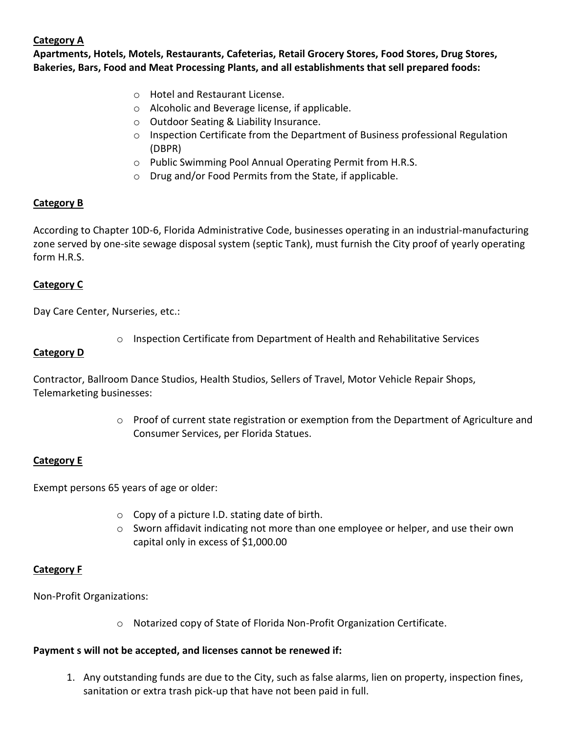# **Category A**

**Apartments, Hotels, Motels, Restaurants, Cafeterias, Retail Grocery Stores, Food Stores, Drug Stores, Bakeries, Bars, Food and Meat Processing Plants, and all establishments that sell prepared foods:** 

- o Hotel and Restaurant License.
- o Alcoholic and Beverage license, if applicable.
- o Outdoor Seating & Liability Insurance.
- $\circ$  Inspection Certificate from the Department of Business professional Regulation (DBPR)
- o Public Swimming Pool Annual Operating Permit from H.R.S.
- o Drug and/or Food Permits from the State, if applicable.

# **Category B**

According to Chapter 10D-6, Florida Administrative Code, businesses operating in an industrial-manufacturing zone served by one-site sewage disposal system (septic Tank), must furnish the City proof of yearly operating form H.R.S.

# **Category C**

Day Care Center, Nurseries, etc.:

 $\circ$  Inspection Certificate from Department of Health and Rehabilitative Services

### **Category D**

Contractor, Ballroom Dance Studios, Health Studios, Sellers of Travel, Motor Vehicle Repair Shops, Telemarketing businesses:

> $\circ$  Proof of current state registration or exemption from the Department of Agriculture and Consumer Services, per Florida Statues.

# **Category E**

Exempt persons 65 years of age or older:

- $\circ$  Copy of a picture I.D. stating date of birth.
- $\circ$  Sworn affidavit indicating not more than one employee or helper, and use their own capital only in excess of \$1,000.00

#### **Category F**

Non-Profit Organizations:

o Notarized copy of State of Florida Non-Profit Organization Certificate.

# **Payment s will not be accepted, and licenses cannot be renewed if:**

1. Any outstanding funds are due to the City, such as false alarms, lien on property, inspection fines, sanitation or extra trash pick-up that have not been paid in full.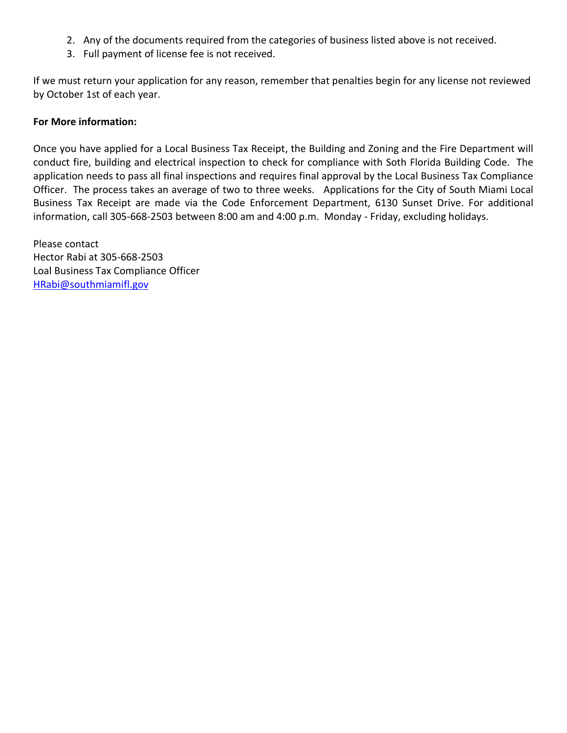- 2. Any of the documents required from the categories of business listed above is not received.
- 3. Full payment of license fee is not received.

If we must return your application for any reason, remember that penalties begin for any license not reviewed by October 1st of each year.

#### **For More information:**

Once you have applied for a Local Business Tax Receipt, the Building and Zoning and the Fire Department will conduct fire, building and electrical inspection to check for compliance with Soth Florida Building Code. The application needs to pass all final inspections and requires final approval by the Local Business Tax Compliance Officer. The process takes an average of two to three weeks. Applications for the City of South Miami Local Business Tax Receipt are made via the Code Enforcement Department, 6130 Sunset Drive. For additional information, call 305-668-2503 between 8:00 am and 4:00 p.m. Monday - Friday, excluding holidays.

Please contact Hector Rabi at 305-668-2503 Loal Business Tax Compliance Officer [HRabi@southmiamifl.gov](mailto:HRabi@southmiamifl.gov)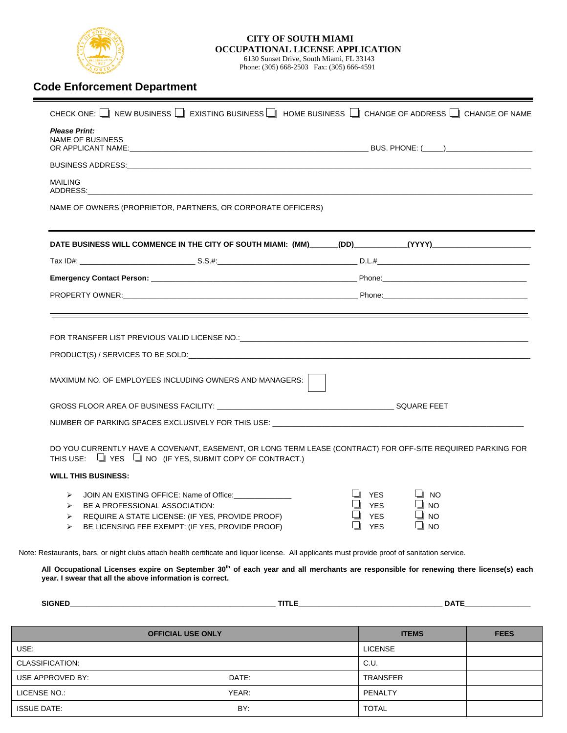

#### **CITY OF SOUTH MIAMI OCCUPATIONAL LICENSE APPLICATION**  6130 Sunset Drive, South Miami, FL 33143

Phone: (305) 668-2503 Fax: (305) 666-4591

# **Code Enforcement Department**

| CHECK ONE: NEW BUSINESS <b>THE AUSTRALIAN EXISTING BUSINESS IN A CHANGE OF ADDRESS IN CHANGE OF NAME</b>                                                                                                                                         |                                                                                                |             |
|--------------------------------------------------------------------------------------------------------------------------------------------------------------------------------------------------------------------------------------------------|------------------------------------------------------------------------------------------------|-------------|
| <b>Please Print:</b><br><b>NAME OF BUSINESS</b>                                                                                                                                                                                                  |                                                                                                |             |
|                                                                                                                                                                                                                                                  |                                                                                                |             |
| <b>MAILING</b><br>ADDRESS: And the contract of the contract of the contract of the contract of the contract of the contract of the contract of the contract of the contract of the contract of the contract of the contract of the contract of t |                                                                                                |             |
| NAME OF OWNERS (PROPRIETOR, PARTNERS, OR CORPORATE OFFICERS)                                                                                                                                                                                     |                                                                                                |             |
|                                                                                                                                                                                                                                                  |                                                                                                |             |
|                                                                                                                                                                                                                                                  |                                                                                                |             |
|                                                                                                                                                                                                                                                  |                                                                                                |             |
|                                                                                                                                                                                                                                                  |                                                                                                |             |
|                                                                                                                                                                                                                                                  |                                                                                                |             |
| FOR TRANSFER LIST PREVIOUS VALID LICENSE NO.: The contract of the contract of the contract of the contract of the contract of the contract of the contract of the contract of the contract of the contract of the contract of                    |                                                                                                |             |
|                                                                                                                                                                                                                                                  |                                                                                                |             |
| MAXIMUM NO. OF EMPLOYEES INCLUDING OWNERS AND MANAGERS:                                                                                                                                                                                          |                                                                                                |             |
|                                                                                                                                                                                                                                                  |                                                                                                |             |
|                                                                                                                                                                                                                                                  |                                                                                                |             |
| DO YOU CURRENTLY HAVE A COVENANT, EASEMENT, OR LONG TERM LEASE (CONTRACT) FOR OFF-SITE REQUIRED PARKING FOR<br>THIS USE: $\Box$ YES $\Box$ NO (IF YES, SUBMIT COPY OF CONTRACT.)                                                                 |                                                                                                |             |
| <b>WILL THIS BUSINESS:</b>                                                                                                                                                                                                                       |                                                                                                |             |
| $\triangleright$ JOIN AN EXISTING OFFICE: Name of Office:<br>> BE A PROFESSIONAL ASSOCIATION:<br>REQUIRE A STATE LICENSE: (IF YES, PROVIDE PROOF)<br>BE LICENSING FEE EXEMPT: (IF YES, PROVIDE PROOF)<br>➤                                       | <b>YES</b><br>⊿ NO<br><b>YES</b><br>$\blacksquare$ YES<br>$\Box$ NO<br>$\Box$ NO<br><b>YES</b> |             |
| Note: Restaurants, bars, or night clubs attach health certificate and liquor license. All applicants must provide proof of sanitation service.                                                                                                   |                                                                                                |             |
| All Occupational Licenses expire on September 30 <sup>th</sup> of each year and all merchants are responsible for renewing there license(s) each<br>year. I swear that all the above information is correct.                                     |                                                                                                |             |
|                                                                                                                                                                                                                                                  |                                                                                                |             |
| <b>OFFICIAL USE ONLY</b>                                                                                                                                                                                                                         | <b>ITEMS</b>                                                                                   | <b>FEES</b> |
| USE:                                                                                                                                                                                                                                             | <b>LICENSE</b>                                                                                 |             |
| CLASSIFICATION:                                                                                                                                                                                                                                  | C.U.                                                                                           |             |

USE APPROVED BY: DATE: DATE: DATE: TRANSFER LICENSE NO.: YEAR: PENALTY ISSUE DATE: BY: TOTAL